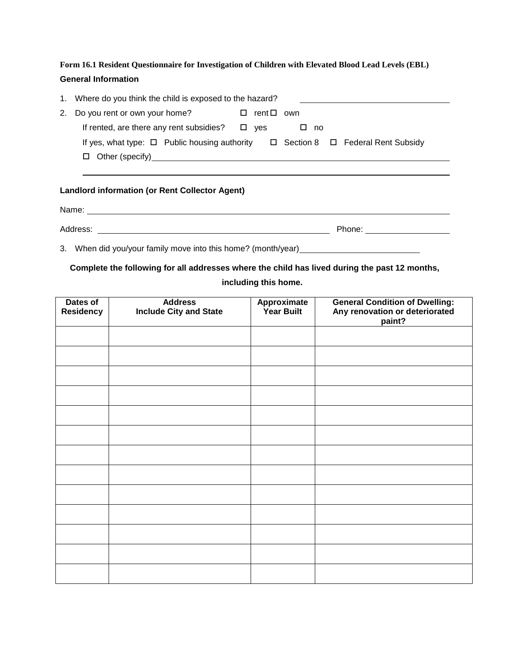**Form 16.1 Resident Questionnaire for Investigation of Children with Elevated Blood Lead Levels (EBL) General Information**

| 1. Where do you think the child is exposed to the hazard?                                       |       |            |              |  |  |
|-------------------------------------------------------------------------------------------------|-------|------------|--------------|--|--|
| 2. Do you rent or own your home?                                                                |       | rent □ own |              |  |  |
| If rented, are there any rent subsidies?                                                        | ⊟ ves |            | $\square$ no |  |  |
| If yes, what type: $\Box$ Public housing authority $\Box$ Section 8 $\Box$ Federal Rent Subsidy |       |            |              |  |  |
| $\Box$ Other (specify)                                                                          |       |            |              |  |  |

# **Landlord information (or Rent Collector Agent)**

Name:

Address: Phone:

3. When did you/your family move into this home? (month/year)

# **Complete the following for all addresses where the child has lived during the past 12 months,**

# **including this home.**

| Dates of<br><b>Residency</b> | <b>Address</b><br><b>Include City and State</b> | Approximate<br><b>Year Built</b> | <b>General Condition of Dwelling:</b><br>Any renovation or deteriorated<br>paint? |
|------------------------------|-------------------------------------------------|----------------------------------|-----------------------------------------------------------------------------------|
|                              |                                                 |                                  |                                                                                   |
|                              |                                                 |                                  |                                                                                   |
|                              |                                                 |                                  |                                                                                   |
|                              |                                                 |                                  |                                                                                   |
|                              |                                                 |                                  |                                                                                   |
|                              |                                                 |                                  |                                                                                   |
|                              |                                                 |                                  |                                                                                   |
|                              |                                                 |                                  |                                                                                   |
|                              |                                                 |                                  |                                                                                   |
|                              |                                                 |                                  |                                                                                   |
|                              |                                                 |                                  |                                                                                   |
|                              |                                                 |                                  |                                                                                   |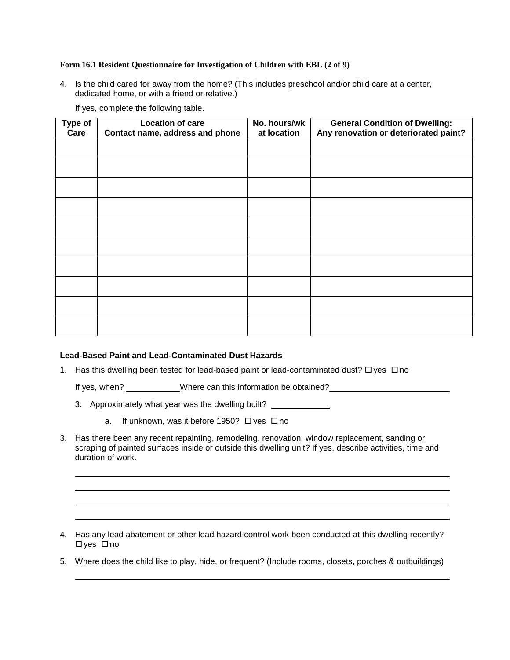# **Form 16.1 Resident Questionnaire for Investigation of Children with EBL (2 of 9)**

4. Is the child cared for away from the home? (This includes preschool and/or child care at a center, dedicated home, or with a friend or relative.)

| Type of<br>Care | <b>Location of care</b><br>Contact name, address and phone | No. hours/wk<br>at location | <b>General Condition of Dwelling:</b><br>Any renovation or deteriorated paint? |
|-----------------|------------------------------------------------------------|-----------------------------|--------------------------------------------------------------------------------|
|                 |                                                            |                             |                                                                                |
|                 |                                                            |                             |                                                                                |
|                 |                                                            |                             |                                                                                |
|                 |                                                            |                             |                                                                                |
|                 |                                                            |                             |                                                                                |
|                 |                                                            |                             |                                                                                |
|                 |                                                            |                             |                                                                                |
|                 |                                                            |                             |                                                                                |
|                 |                                                            |                             |                                                                                |
|                 |                                                            |                             |                                                                                |
|                 |                                                            |                             |                                                                                |

If yes, complete the following table.

# **Lead-Based Paint and Lead-Contaminated Dust Hazards**

1. Has this dwelling been tested for lead-based paint or lead-contaminated dust?  $\Box$  yes  $\Box$  no

If yes, when? Where can this information be obtained?

- 3. Approximately what year was the dwelling built?
	- a. If unknown, was it before 1950?  $\Box$  yes  $\Box$  no
- 3. Has there been any recent repainting, remodeling, renovation, window replacement, sanding or scraping of painted surfaces inside or outside this dwelling unit? If yes, describe activities, time and duration of work.

- 4. Has any lead abatement or other lead hazard control work been conducted at this dwelling recently?  $\Box$ yes  $\Box$ no
- 5. Where does the child like to play, hide, or frequent? (Include rooms, closets, porches & outbuildings)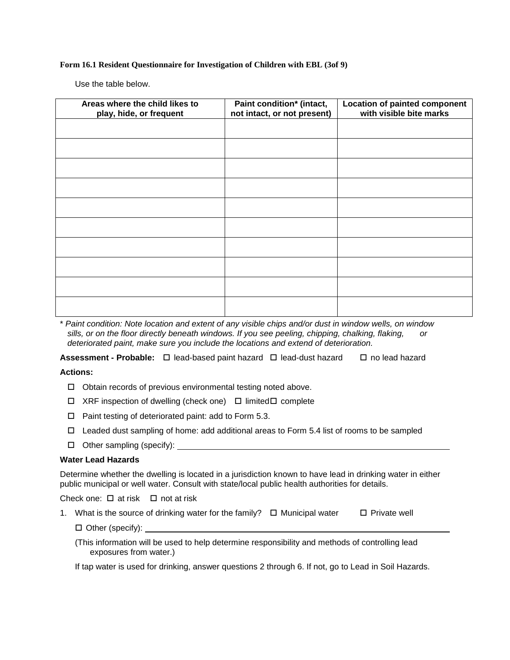## **Form 16.1 Resident Questionnaire for Investigation of Children with EBL (3of 9)**

Use the table below.

| Areas where the child likes to<br>play, hide, or frequent | Paint condition* (intact,<br>not intact, or not present) | <b>Location of painted component</b><br>with visible bite marks |
|-----------------------------------------------------------|----------------------------------------------------------|-----------------------------------------------------------------|
|                                                           |                                                          |                                                                 |
|                                                           |                                                          |                                                                 |
|                                                           |                                                          |                                                                 |
|                                                           |                                                          |                                                                 |
|                                                           |                                                          |                                                                 |
|                                                           |                                                          |                                                                 |
|                                                           |                                                          |                                                                 |
|                                                           |                                                          |                                                                 |
|                                                           |                                                          |                                                                 |
|                                                           |                                                          |                                                                 |

\* *Paint condition: Note location and extent of any visible chips and/or dust in window wells, on window sills, or on the floor directly beneath windows. If you see peeling, chipping, chalking, flaking, or deteriorated paint, make sure you include the locations and extend of deterioration.*

**Assessment - Probable:** □ lead-based paint hazard □ lead-dust hazard □ no lead hazard

# **Actions:**

- $\Box$  Obtain records of previous environmental testing noted above.
- $\Box$  XRF inspection of dwelling (check one)  $\Box$  limited  $\Box$  complete
- $\Box$  Paint testing of deteriorated paint: add to Form 5.3.
- $\Box$  Leaded dust sampling of home: add additional areas to Form 5.4 list of rooms to be sampled
- $\Box$  Other sampling (specify):

#### **Water Lead Hazards**

Determine whether the dwelling is located in a jurisdiction known to have lead in drinking water in either public municipal or well water. Consult with state/local public health authorities for details.

Check one:  $\Box$  at risk  $\Box$  not at risk

1. What is the source of drinking water for the family?  $\Box$  Municipal water  $\Box$  Private well

□ Other (specify): \_\_\_\_\_\_\_

(This information will be used to help determine responsibility and methods of controlling lead exposures from water.)

If tap water is used for drinking, answer questions 2 through 6. If not, go to Lead in Soil Hazards.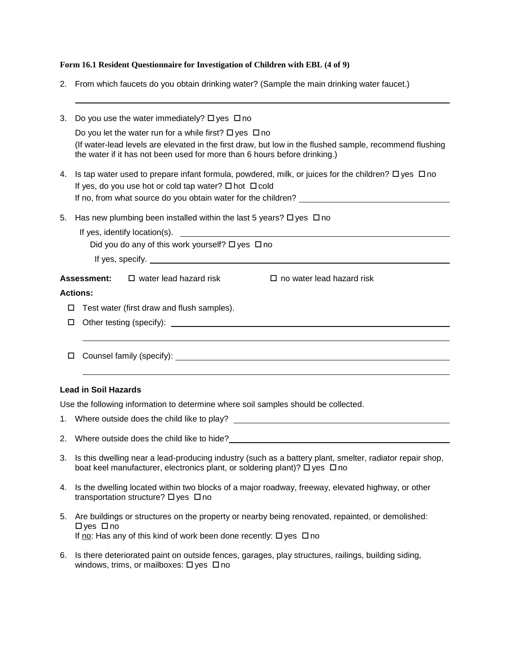# **Form 16.1 Resident Questionnaire for Investigation of Children with EBL (4 of 9)**

2. From which faucets do you obtain drinking water? (Sample the main drinking water faucet.)

| 3. |                                                                               | Do you use the water immediately? $\Box$ yes $\Box$ no                    |                                                                                                                     |
|----|-------------------------------------------------------------------------------|---------------------------------------------------------------------------|---------------------------------------------------------------------------------------------------------------------|
|    |                                                                               | Do you let the water run for a while first? $\Box$ yes $\Box$ no          |                                                                                                                     |
|    |                                                                               | the water if it has not been used for more than 6 hours before drinking.) | (If water-lead levels are elevated in the first draw, but low in the flushed sample, recommend flushing             |
| 4. |                                                                               | If yes, do you use hot or cold tap water? $\square$ hot $\square$ cold    | Is tap water used to prepare infant formula, powdered, milk, or juices for the children? $\square$ yes $\square$ no |
|    |                                                                               |                                                                           | If no, from what source do you obtain water for the children? __________________                                    |
| 5. | Has new plumbing been installed within the last 5 years? $\Box$ yes $\Box$ no |                                                                           |                                                                                                                     |
|    |                                                                               | Did you do any of this work yourself? $\Box$ yes $\Box$ no                | If yes, identify location(s).                                                                                       |
|    |                                                                               |                                                                           |                                                                                                                     |
|    |                                                                               |                                                                           |                                                                                                                     |
|    |                                                                               | <b>Assessment:</b> $\Box$ water lead hazard risk                          | $\Box$ no water lead hazard risk                                                                                    |
|    | <b>Actions:</b>                                                               |                                                                           |                                                                                                                     |
| □  |                                                                               | Test water (first draw and flush samples).                                |                                                                                                                     |
| □  |                                                                               |                                                                           |                                                                                                                     |
|    |                                                                               |                                                                           |                                                                                                                     |
| □  |                                                                               |                                                                           |                                                                                                                     |
|    |                                                                               |                                                                           |                                                                                                                     |
|    | <b>Lead in Soil Hazards</b>                                                   |                                                                           |                                                                                                                     |

Use the following information to determine where soil samples should be collected.

| 1. Where outside does the child like to play? |
|-----------------------------------------------|

- 2. Where outside does the child like to hide?
- 3. Is this dwelling near a lead-producing industry (such as a battery plant, smelter, radiator repair shop, boat keel manufacturer, electronics plant, or soldering plant)?  $\Box$  yes  $\Box$  no
- 4. Is the dwelling located within two blocks of a major roadway, freeway, elevated highway, or other transportation structure?  $\Box$  yes  $\Box$  no
- 5. Are buildings or structures on the property or nearby being renovated, repainted, or demolished:  $\Box$  ves  $\Box$  no If no: Has any of this kind of work been done recently:  $\Box$  yes  $\Box$  no
- 6. Is there deteriorated paint on outside fences, garages, play structures, railings, building siding, windows, trims, or mailboxes:  $\Box$  yes  $\Box$  no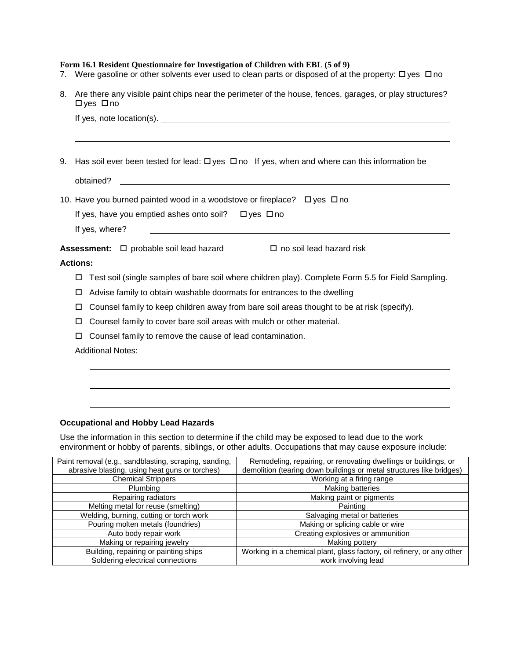## **Form 16.1 Resident Questionnaire for Investigation of Children with EBL (5 of 9)**

- 7. Were gasoline or other solvents ever used to clean parts or disposed of at the property:  $\Box$  yes  $\Box$  no
- 8. Are there any visible paint chips near the perimeter of the house, fences, garages, or play structures?  $\Box$ yes  $\Box$ no

| 9. Has soil ever been tested for lead: $\Box$ yes $\Box$ no If yes, when and where can this information be |
|------------------------------------------------------------------------------------------------------------|
| obtained?<br><u> 1989 - John Stein, Amerikaansk politiker (* 1958)</u>                                     |
| 10. Have you burned painted wood in a woodstove or fireplace? $\Box$ yes $\Box$ no                         |
| If yes, have you emptied ashes onto soil? $\Box$ yes $\Box$ no                                             |
|                                                                                                            |
| If yes, where?                                                                                             |
| Assessment: □ probable soil lead hazard<br>$\Box$ no soil lead hazard risk                                 |
| <b>Actions:</b>                                                                                            |
| Test soil (single samples of bare soil where children play). Complete Form 5.5 for Field Sampling.<br>□    |
| Advise family to obtain washable doormats for entrances to the dwelling<br>□                               |
| Counsel family to keep children away from bare soil areas thought to be at risk (specify).<br>□            |
| Counsel family to cover bare soil areas with mulch or other material.<br>□                                 |
| Counsel family to remove the cause of lead contamination.<br>□                                             |

# **Occupational and Hobby Lead Hazards**

Use the information in this section to determine if the child may be exposed to lead due to the work environment or hobby of parents, siblings, or other adults. Occupations that may cause exposure include:

| Paint removal (e.g., sandblasting, scraping, sanding, | Remodeling, repairing, or renovating dwellings or buildings, or        |
|-------------------------------------------------------|------------------------------------------------------------------------|
| abrasive blasting, using heat guns or torches)        | demolition (tearing down buildings or metal structures like bridges)   |
| <b>Chemical Strippers</b>                             | Working at a firing range                                              |
| Plumbing                                              | Making batteries                                                       |
| Repairing radiators                                   | Making paint or pigments                                               |
| Melting metal for reuse (smelting)                    | Painting                                                               |
| Welding, burning, cutting or torch work               | Salvaging metal or batteries                                           |
| Pouring molten metals (foundries)                     | Making or splicing cable or wire                                       |
| Auto body repair work                                 | Creating explosives or ammunition                                      |
| Making or repairing jewelry                           | Making pottery                                                         |
| Building, repairing or painting ships                 | Working in a chemical plant, glass factory, oil refinery, or any other |
| Soldering electrical connections                      | work involving lead                                                    |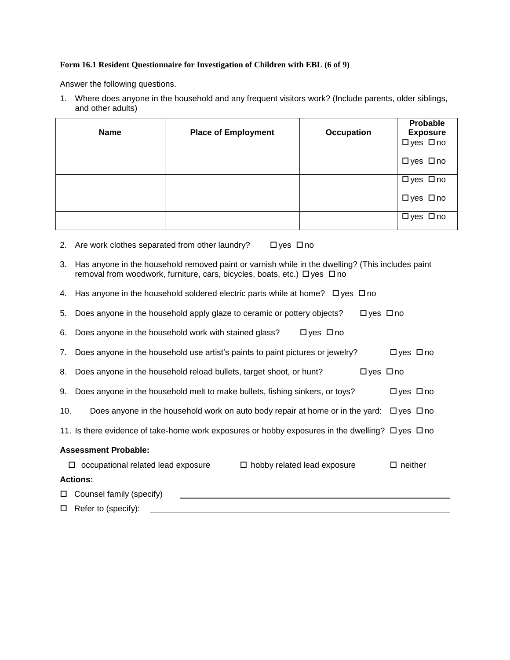# **Form 16.1 Resident Questionnaire for Investigation of Children with EBL (6 of 9)**

Answer the following questions.

1. Where does anyone in the household and any frequent visitors work? (Include parents, older siblings, and other adults)

| <b>Name</b> | <b>Place of Employment</b> | <b>Occupation</b> | Probable<br><b>Exposure</b> |
|-------------|----------------------------|-------------------|-----------------------------|
|             |                            |                   | □yes □no                    |
|             |                            |                   | □yes □no                    |
|             |                            |                   | □yes □no                    |
|             |                            |                   | □yes □no                    |
|             |                            |                   | □yes □no                    |

- 2. Are work clothes separated from other laundry?  $\Box$  yes  $\Box$  no
- 3. Has anyone in the household removed paint or varnish while in the dwelling? (This includes paint removal from woodwork, furniture, cars, bicycles, boats, etc.)  $\Box$  yes  $\Box$  no
- 4. Has anyone in the household soldered electric parts while at home?  $\Box$  yes  $\Box$  no
- 5. Does anyone in the household apply glaze to ceramic or pottery objects?  $\Box$  yes  $\Box$  no

|  | 6. Does anyone in the household work with stained glass? | $\Box$ yes $\Box$ no |
|--|----------------------------------------------------------|----------------------|
|  |                                                          |                      |

- 7. Does anyone in the household use artist's paints to paint pictures or jewelry?  $\square$  yes  $\square$  no
- 8. Does anyone in the household reload bullets, target shoot, or hunt?  $\square$  yes  $\square$  no
- 9. Does anyone in the household melt to make bullets, fishing sinkers, or toys?  $\Box$  yes  $\Box$  no
- 10. Does anyone in the household work on auto body repair at home or in the yard:  $\Box$  yes  $\Box$  no
- 11. Is there evidence of take-home work exposures or hobby exposures in the dwelling?  $\Box$  yes  $\Box$  no

#### **Assessment Probable:**

| □ | occupational related lead exposure | $\Box$ hobby related lead exposure | $\Box$ neither |
|---|------------------------------------|------------------------------------|----------------|
|   | <b>Actions:</b>                    |                                    |                |
|   | $\Box$ Counsel family (specify)    |                                    |                |
|   | $\Box$ Refer to (specify):         |                                    |                |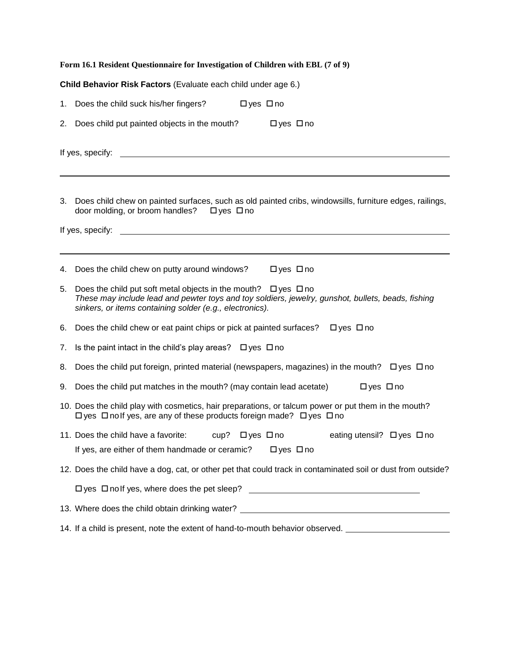|    | Form 16.1 Resident Questionnaire for Investigation of Children with EBL (7 of 9)                                                                                                                                                           |
|----|--------------------------------------------------------------------------------------------------------------------------------------------------------------------------------------------------------------------------------------------|
|    | Child Behavior Risk Factors (Evaluate each child under age 6.)                                                                                                                                                                             |
| 1. | Does the child suck his/her fingers?<br>□yes □no                                                                                                                                                                                           |
| 2. | Does child put painted objects in the mouth?<br>$\Box$ yes $\Box$ no                                                                                                                                                                       |
|    | If yes, specify:<br>the control of the control of the control of the control of the control of the control of                                                                                                                              |
| 3. | Does child chew on painted surfaces, such as old painted cribs, windowsills, furniture edges, railings,<br>door molding, or broom handles?<br>□yes □no<br>If yes, specify:                                                                 |
|    |                                                                                                                                                                                                                                            |
| 4. | Does the child chew on putty around windows?<br>□ yes □ no                                                                                                                                                                                 |
| 5. | Does the child put soft metal objects in the mouth? $\Box$ yes $\Box$ no<br>These may include lead and pewter toys and toy soldiers, jewelry, gunshot, bullets, beads, fishing<br>sinkers, or items containing solder (e.g., electronics). |
| 6. | Does the child chew or eat paint chips or pick at painted surfaces?<br>$\Box$ yes $\Box$ no                                                                                                                                                |
| 7. | Is the paint intact in the child's play areas? $\Box$ yes $\Box$ no                                                                                                                                                                        |
| 8. | Does the child put foreign, printed material (newspapers, magazines) in the mouth? $\Box$ yes $\Box$ no                                                                                                                                    |
| 9. | Does the child put matches in the mouth? (may contain lead acetate)<br>$\Box$ yes $\Box$ no                                                                                                                                                |
|    | 10. Does the child play with cosmetics, hair preparations, or talcum power or put them in the mouth?<br>$\Box$ yes $\Box$ no If yes, are any of these products foreign made? $\Box$ yes $\Box$ no                                          |
|    | 11. Does the child have a favorite:<br>cup? □ yes □ no<br>eating utensil? □ yes □ no                                                                                                                                                       |
|    | If yes, are either of them handmade or ceramic?<br>$\Box$ yes $\Box$ no                                                                                                                                                                    |
|    | 12. Does the child have a dog, cat, or other pet that could track in contaminated soil or dust from outside?                                                                                                                               |
|    | $\Box$ yes $\Box$ no If yes, where does the pet sleep? $\Box$                                                                                                                                                                              |
|    | 13. Where does the child obtain drinking water? ________________________________                                                                                                                                                           |
|    | 14. If a child is present, note the extent of hand-to-mouth behavior observed. ____________________                                                                                                                                        |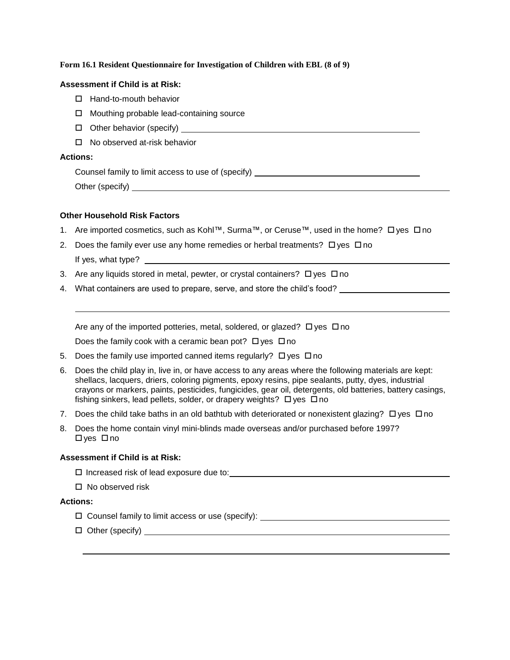### **Form 16.1 Resident Questionnaire for Investigation of Children with EBL (8 of 9)**

### **Assessment if Child is at Risk:**

- $\Box$  Hand-to-mouth behavior
- □ Mouthing probable lead-containing source
- Other behavior (specify)
- □ No observed at-risk behavior

### **Actions:**

Counsel family to limit access to use of (specify)

Other (specify)

# **Other Household Risk Factors**

- 1. Are imported cosmetics, such as Kohl™, Surma™, or Ceruse™, used in the home? Dyes Dno
- 2. Does the family ever use any home remedies or herbal treatments?  $\Box$  yes  $\Box$  no If yes, what type?
- 3. Are any liquids stored in metal, pewter, or crystal containers?  $\Box$  yes  $\Box$  no
- 4. What containers are used to prepare, serve, and store the child's food?

Are any of the imported potteries, metal, soldered, or glazed?  $\Box$  yes  $\Box$  no

Does the family cook with a ceramic bean pot?  $\Box$  yes  $\Box$  no

- 5. Does the family use imported canned items regularly?  $\Box$  yes  $\Box$  no
- 6. Does the child play in, live in, or have access to any areas where the following materials are kept: shellacs, lacquers, driers, coloring pigments, epoxy resins, pipe sealants, putty, dyes, industrial crayons or markers, paints, pesticides, fungicides, gear oil, detergents, old batteries, battery casings, fishing sinkers, lead pellets, solder, or drapery weights?  $\Box$  yes  $\Box$  no
- 7. Does the child take baths in an old bathtub with deteriorated or nonexistent glazing?  $\Box$  yes  $\Box$  no
- 8. Does the home contain vinyl mini-blinds made overseas and/or purchased before 1997?  $\Box$  yes  $\Box$  no

# **Assessment if Child is at Risk:**

Increased risk of lead exposure due to:

 $\Box$  No observed risk

# **Actions:**

- $\Box$  Counsel family to limit access or use (specify):
- $\square$  Other (specify) experiments are considered as a set of the set of the set of the set of the set of the set of the set of the set of the set of the set of the set of the set of the set of the set of the set of the set